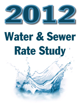

# Water & Sewer Rate Study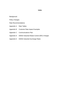## **Index**

Background

Policy Changes

- Rate Recommendations
- Appendix A Rate Tables
- Appendix B Customer Rate Impact Examples
- Appendix C Communications Plan
- Appendix D DWSD Industrial Waste Control (IWC) Charges
- Appendix E DWSD Industrial Surcharge Rates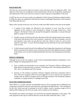# **BACKGROUND:**

The first true cost-of-service study for Canton's water and sewer rates was adopted in 2005. The objective of the study was to align the revenue requirements with the cost of operation, maintenance and replacement of the water and sewer system to ensure long-term sustainability of the fund.

In 2007 the true cost-of-service study was updated by Utility Financial Solutions (original author). In 2008, the report was updated by staff from the Finance and Budget Department, with assistance from Municipal Services.

Many of the concepts of the true cost-of-service study from 2005 remain in this most recent update.

- 1. A portion of the charges are allocated to the customers to cover costs that we incur regardless of the volume of water purchased or volume of sewage treated (a.k.a. fixed charges). The balance of the costs are paid for through the commodity, or rate per thousand gallons, charge to the customer.
- 2. Another concept carried forward is the allocation of the fixed charges based on the capacity of the meter that measures flow at the customer's connection. By way of example, a two (2) inch diameter water meter can provide four times the volume of water of a one (1) inch diameter water meter. As such, the fixed charges are four times that of a one-inch residential water account.
- 3. A third concept carried forward is the additional fixed charge that a homeowner with footing drains connected to the sanitary sewer system pays because of the additional capacity needed in the sanitary sewer system to handle groundwater that enters the footing drains around their home.

# **POLICY CHANGES:**

Although not part of the rate analysis, or part of the recommended ordinance amendments, a few policy changes are being proposed for 2012.

- First, to further ease the burden on our customers, the Treasurer's Office is offering autodebit options for payment from a customer's checking account. This had been planned for in 2011, but it was delayed until 2012 instead.
- Second, we will continue to promote voluntary irrigation restrictions community-wide in 2012. This year's program will be even more aggressive to try to convince our customers to comply with our odd/even program and to encourage customers with automated irrigation controllers to irrigate between 12 midnight and 6 AM.

# **RATE RECOMMENDATIONS:**

What follows is a section with the recommended rates for 2012 assuming that no additional rate component is required to raise the water and sewer cash balance through the rates. The cash balance for the 2011 fiscal year-end is estimated to be \$13.5 million versus a minimum target of \$11.8 million (2007 dollars per the UFS rate study or \$13.5 million in 2012 dollars).

The detailed rate analysis and impacts are enclosed in the attached appendices to this report. The rates proposed in this report would be effective on the first bills issued after May 1, 2012.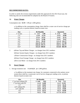# **RECOMMENDED RATES:**

In order to satisfy the revenue requirements under this approach for the 2012 fiscal year, the following rates are recommended for adoption by the Board of Trustees.

## **A) Water Charges**

Consumption rate: \$3.99 3.90 per 1,000 gallons.

a. In addition to the consumption charge, there shall be a water cost of service charge per reading cycle, or portion thereof, based on meter size:

| <b>Size</b> | <b>Bi-Monthly</b> | Quarterly                   |
|-------------|-------------------|-----------------------------|
| 1" or less  | 5.88<br>5.64      | 8.82<br>8.46                |
| 1.5"        | 12.68<br>13.24    | 19.86<br>19.02              |
| 2.0"        | 22.54<br>23.54    | 33.81<br>35.31              |
| 3.0"        | 50.70<br>52.98    | 79.47<br>76.05              |
| 4.0"        | 94.18<br>90.12    | 135.18 141.27               |
| 6.0"        | 202.78 211.92     | 304.17 317.88               |
| 8.0"        | 360.48 376.74     | 565.11<br><del>550.72</del> |
| 10.0"       | 563.26 588.66     | 882.99<br>844.89            |

2. a)Water Tap and Meter Charges: no changes from 2011 numbers b)Water System Equity Charges: no change from 2011 numbers c)Water Construction Charge: no change from 2011 numbers d)Water Front Footage Charge: no change from 2011 numbers e)Fire Line Meter: no change from 2011 numbers

# **B. Sewer Charges**

1. Sewage treatment rate: \$ 6.40 **6.23** per 1,000 gallons.

a. In addition to the treatment rate charge, for customers connected to the sanitary sewer system there shall be a wastewater cost of service charge per reading cycle, or portion thereof, based on meter size:

| <b>Size</b>             | <b>Bi-Monthly</b>      | Quarterly      |
|-------------------------|------------------------|----------------|
| 1" (or less) without FD | \$4.90<br>4.82         | $7.35$ 7.23    |
| $1"$ (or less) with FD  | 14.18<br>14.80         | $21.27$ 22.20  |
| 1.5"                    | $11.04$ 10.84          | $16.56$ 16.26  |
| 2.0" without FD         | 19.62 19.26            | 28.89<br>29.43 |
| $2.0$ " with FD         | 28.90 29.24            | $-43.35$ 43.86 |
| 3.0"                    | 44.16 43.32            | 66.24 64.98    |
| 4.0"                    | <del>78.52</del> 77.02 | 117.78 115.53  |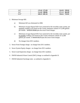| 6.0"    | 176.66 173.28 | 259.92<br>264.99            |
|---------|---------------|-----------------------------|
| $8.0$ " | 314.08 308.06 | 462.09<br><del>471.12</del> |
| 10.0"   | 490.74 481.34 | 722.01<br><del>736.11</del> |

- 2. Minimum Sewage Bill:
	- a) Minimum bill was eliminated in 2008.
	- b) Minimum sewage disposal bill if not connected to the township water system, per quarterly reading cycle based on the County minimum volume of 12,500 gallons per month: \$240.00 **233.63** plus the sewer fixed charges.
	- c) Minimum sewage disposal bill if not connected to the township water system, per bi-monthly reading cycle based on the County minimum volume of 12,500 gallons per month: \$ 160.00 **155.75** plus the sewer fixed charges.
	- d) No changes from 2011 numbers.
- 3. Sewer Front Footage charge: no change from 2011 numbers.
- 4. Sewer System Equity charges: no change from 2011 numbers.
- 5. Sewer Lead Inspection charge: no change from 2011 numbers.
- 6. DWSD Industrial Waste Control (IWC) charge: as outlined in Appendix D.
- 7. DWSD Industrial Surcharge rates: as outlined in Appendix E.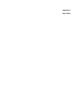**Appendix A Rate Tables**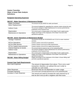# **Budgeted Operating Expenses**

## **592.537 - Water Operations & Maintenance Budget**

| <b>Water Purchases</b>   | The amount we pay DWSD for water purchased.                            |
|--------------------------|------------------------------------------------------------------------|
| Meter Replacement        |                                                                        |
|                          | The amount budgeted for upgrading the customer meters during the year. |
| <b>Indirect Costs</b>    | The amount charged to Water Maintenance for services performed by      |
|                          | employees of the General Fund.                                         |
| Depreciation             | The current year's of depreciation of the Water Fund's capital assets. |
| Maintenance & Operations | Wages and fringes of the employees of the Water Fund and other         |
|                          | operational expenses.                                                  |

## **592.538 - Sewer Operations & Maintenance Budget**

| <b>Sewage Treatment</b>          | The amount we pay WC-RVIS/DWSD and YCUA for sewer treatment            |
|----------------------------------|------------------------------------------------------------------------|
|                                  | services.                                                              |
| <b>WTUA Operations</b>           | Canton's portion of the WTUA operations.                               |
| <b>WTUA Debt Service</b>         | Canton's portion of the WTUA debt requirements.                        |
| <b>WTUA Capital Improvements</b> | Canton's portion of the WTUA capital improvements.                     |
| Interest Expense on bonds        | The annual interest expense due on the outstanding debt.               |
| <b>Indirect Costs</b>            | The amount charged to Sewer Maintenance for services performed by      |
|                                  | employees of the General Fund.                                         |
| Depreciation                     | The current year's of depreciation of the Water Fund's capital assets. |
| Maintenance & Operations         | Wages and fringes of the employees of the Water Fund and other         |
|                                  | operational expenses.                                                  |
| 592.560 - Water Billing Budget   | Wages and fringes of the employees of the Water & Sewer Billing staff  |
|                                  | and other operational expenses.                                        |

# **Current Year Cash Requirements**

| Non-Cash Expenses         | The amount of depreciation from above. This is not a cash                                                       |  |  |
|---------------------------|-----------------------------------------------------------------------------------------------------------------|--|--|
|                           | transaction, therefore, we subtract this out in order to                                                        |  |  |
|                           | calculate our cash needs.                                                                                       |  |  |
| <b>Other Revenues</b>     | Revenues that are not dependent on water usage.                                                                 |  |  |
| <b>Principal Payments</b> | The current year's principal payments due on the outstanding debt.                                              |  |  |
| Increase in Cash Reserves | The amount we need to increase the cash reserves by so<br>that we don't end up with a negative cash flow issue. |  |  |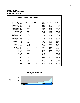| WATER & SEWER RATE HISTORY (per thousand gallons) |       |       |                   |          |          |
|---------------------------------------------------|-------|-------|-------------------|----------|----------|
|                                                   |       |       |                   | Total    |          |
| <b>Effective Date</b>                             | Water | Sewer | <b>Total Rate</b> | Increase | % Change |
| December 1, 1974                                  | 0.34  | 0.34  | 0.68              |          |          |
| December 1, 1975                                  | 0.34  | 0.51  | 0.85              | 0.17     | 25.00%   |
| December 1, 1976                                  | 0.69  | 0.38  | 1.07              | 0.22     | 25.88%   |
| December 1, 1978                                  | 0.69  | 0.51  | 1.20              | 0.13     | 12.15%   |
| December 1, 1979                                  | 0.85  | 0.98  | 1.83              | 0.63     | 52.50%   |
| October 1, 1981                                   | 0.87  | 0.98  | 1.85              | 0.02     | 1.09%    |
| July 1, 1983                                      | 1.14  | 1.40  | 2.54              | 0.69     | 37.30%   |
| September 1, 1984                                 | 1.06  | 1.42  | 2.48              | (0.06)   | $-2.36%$ |
| September 1, 1991                                 | 1.22  | 1.51  | 2.73              | 0.25     | 10.08%   |
| September 1, 1992                                 | 1.32  | 1.61  | 2.93              | 0.20     | 7.33%    |
| September 1, 1993                                 | 1.42  | 1.76  | 3.18              | 0.25     | 8.53%    |
| October 1, 1994                                   | 1.52  | 1.91  | 3.43              | 0.25     | 7.86%    |
| February 1, 1996                                  | 1.62  | 2.06  | 3.68              | 0.25     | 7.29%    |
| August 1, 1997                                    | 1.74  | 2.23  | 3.97              | 0.29     | 7.88%    |
| September 1, 1998                                 | 1.86  | 2.40  | 4.26              | 0.29     | 7.30%    |
| January 1, 1999                                   | 1.86  | 2.40  | 4.26              |          | 0.00%    |
| January 1, 2000                                   | 1.91  | 2.64  | 4.55              | 0.29     | 6.81%    |
| April 1, 2001                                     | 1.95  | 2.81  | 4.76              | 0.21     | 4.62%    |
| May 1, 2002                                       | 2.00  | 3.06  | 5.06              | 0.30     | 6.30%    |
| July 1, 2003                                      | 2.26  | 3.15  | 5.41              | 0.35     | 6.92%    |
| July 1, 2004                                      | 2.26  | 3.15  | 5.41              |          | 0.00%    |
| July 1, 2005                                      | 2.26  | 3.15  | 5.41              |          | $0.00\%$ |
| June 1, 2006                                      | 2.26  | 3.30  | 5.56              | 0.15     | 2.77%    |
| July 1, 2007                                      | 2.48  | 3.45  | 5.93              | 0.37     | 6.65%    |
| July 1, 2008                                      | 2.61  | 4.54  | 7.15              | 1.22     | 20.57%   |
| July 1, 2009                                      | 2.87  | 5.33  | 8.20              | 1.05     | 14.69%   |
| July 1, 2010                                      | 3.69  | 5.96  | 9.65              | 1.45     | 17.68%   |
| July 1, 2011                                      | 3.99  | 6.40  | 10.39             | 0.74     | 7.67%    |

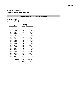# **Canton Township Water & Sewer Rate Analysis**

# **WATER TREATMENT & TRANSMISSION COSTS**

### *Water Purchased* **(per 1,000 gallons)**

|                       | <b>DWSD</b>     |          |  |  |
|-----------------------|-----------------|----------|--|--|
| <b>Effective Date</b> | Rate            | % Change |  |  |
| July 1, 1995          | 1.03            |          |  |  |
| July 1, 1996          | 1.06            | 2.9%     |  |  |
| July 1, 1997          | 1.10            | 3.8%     |  |  |
| July 1, 1998          | 1.18            | 7.3%     |  |  |
| July 1, 1999          | 1.21            | 2.5%     |  |  |
| July 1, 2000          | 1.27            | 5.0%     |  |  |
| July 1, 2001          | 1.42            | 11.8%    |  |  |
| July 1, 2002          | 1.62            | 14.1%    |  |  |
| July 1, 2003          | 1.78            | 9.9%     |  |  |
| July 1, 2004          | 2.00            | 12.4%    |  |  |
| July 1, 2005          | 2.22            | 11.0%    |  |  |
| July 1, 2006          | 2.22            | 0.0%     |  |  |
| July 1, 2007          | 2.37            | 6.8%     |  |  |
| July 1, 2008          | 2.39            | 0.8%     |  |  |
| July 1, 2009          | 2.31            | $-3.3%$  |  |  |
| July 1, 2010          | 2.66            | 15.2%    |  |  |
| July 1, 2011          | 2.93            | 10.2%    |  |  |
| July 1, 2012          | 3.17            | 8.2%     |  |  |
|                       | Total % Change: | 207.8%   |  |  |
|                       | Avg increase:   | 7.0%     |  |  |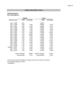#### **SEWER TREATMENT COSTS**

## *Sewage Disposal* **(per 1,000 gallons)**

|                 | <b>DWSD*</b>    |          | <b>YCUA</b>     |            |
|-----------------|-----------------|----------|-----------------|------------|
| Effective Date  | Rate            | % Change | Rate            | % Change   |
| July 1, 1995    | 0.81            |          | 0.9834          |            |
| July 1, 1996    | 0.89            | 9.9%     | 0.9834          | $0.0\%$    |
| July 1, 1997    | 0.91            | 2.2%     | 0.9565          | $-2.7%$    |
| July 1, 1998    | 0.96            | 5.5%     | 0.9808          | 2.5%       |
| July 1, 1999    | 1.03            | 7.3%     | 1.0352          | 5.5%       |
| July 1, 2000    | 1.05            | 1.9%     | 1.0023          | $-3.2%$    |
| July 1, 2001    | 1.02            | $-2.9%$  | 1.1580          | 15.5%      |
| July 1, 2002    | 1.13            | 10.8%    | 1.2255          | 5.8%       |
| July 1, 2003    | 1.23            | 8.8%     | 1.2812          | 4.5%       |
| July 1, 2004    | 1.26            | 2.4%     | 1.3469          | 5.1%       |
| July 1, 2005    | 1.26            | 0.0%     | 1.3188          | $-2.1%$    |
| July 1, 2006    | 1.30            | 3.2%     | 1.4644          | 11.0%      |
| July 1, 2007    | 1.31            | 0.8%     | 1.5236          | 4.0%       |
| July 1, 2008    | 1.39            | 6.1%     | 1.6093          | 5.6%       |
| July 1, 2009    | 1.41            | 1.4%     | 1.5759          | $-2.1%$    |
| October 1, 2010 | 1.47            | 4.3%     | 1.4904          | $-5.4%$    |
| July 1, 2011    | 1.44            | $-2.0\%$ | 1.6760          | 12.5%      |
| July 1, 2012    | 1.49            | 3.5%     | 1.7263          | $3.0\%$ ** |
|                 | Total % Change: | 84.0%    | Total % Change: | 75.5%      |
|                 | Avg increase:   | 3.7%     | Avg increase:   | 3.5%       |

\*These rates exclude the DWSD fixed charges and Wayne County RVIS charges for transporting sewage to DWSD. \*\*Estimated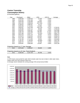# **Canton Township Consumption History**

(in thousand gallons)

| Year | Purchased                           | <b>Billed</b> | <b>UFW</b> | UFW %    | Average   |  |  |  |
|------|-------------------------------------|---------------|------------|----------|-----------|--|--|--|
| 1995 | 2,355,944                           | 2,343,515     | 12,429     | 0.53%    |           |  |  |  |
| 1996 | 2,542,252                           | 2,541,189     | 1,063      | 0.04%    |           |  |  |  |
| 1997 | 2,664,403                           | 2,445,909     | 218,494    | 8.20%    |           |  |  |  |
| 1998 | 2,661,325                           | 2,908,818     | (247,493)  | -9.30%   |           |  |  |  |
| 1999 | 3,106,622                           | 3,096,507     | 10,115     | 0.33%    |           |  |  |  |
| 2000 | 2,830,294                           | 2,715,344     | 114,950    | 4.06%    |           |  |  |  |
| 2001 | 2,864,657                           | 3,047,036     | (182, 379) | $-6.37%$ | 2,728,331 |  |  |  |
| 2002 | 3,395,680                           | 3,297,112     | 98,568     | 2.90%    | 2,799,429 |  |  |  |
| 2003 | 3,304,252                           | 3,091,567     | 212,685    | 6.44%    | 2,831,889 |  |  |  |
| 2004 | 3,380,749                           | 2,987,866     | 392,883    | 11.62%   | 2,847,486 |  |  |  |
| 2005 | 3,357,496                           | 3,367,677     | (10, 181)  | $-0.30%$ | 2,894,776 |  |  |  |
| 2006 | 3,067,676                           | 3,041,124     | 26,552     | 0.87%    | 2,906,972 |  |  |  |
| 2007 | 3,470,575                           | 3,316,524     | 154,051    | 4.44%    | 2,938,476 |  |  |  |
| 2008 | 3,227,748                           | 3,095,821     | 131,927    | 4.09%    | 2,949,715 |  |  |  |
| 2009 | 2,740,788                           | 2,711,855     | 28,933     | 1.06%    | 2,933,858 |  |  |  |
| 2010 | 2,705,751                           | 2,756,646     | (50,895)   | -1.88%   | 2,922,782 |  |  |  |
| 2011 | 2,858,757                           | 2,817,971     | 40,786     | 1.43%    | 2,916,617 |  |  |  |
| 2012 | 2,916,667                           | 2,800,000     | 116,667    | 4.00%    | 2,910,138 |  |  |  |
|      |                                     |               |            |          |           |  |  |  |
|      | Projection based on 17 Year Average |               |            |          |           |  |  |  |

# *Projection based on 17 Year Average*

| 2012 | 2.972.645 | 2.916.617                                  | 56.029 | 1.66% |
|------|-----------|--------------------------------------------|--------|-------|
|      |           |                                            |        |       |
|      |           | Projection based on 16 Year Trend Analysis |        |       |

| 201 <sup>c</sup> | 442<br>ററ | 734 | .708 |  |
|------------------|-----------|-----|------|--|
|                  |           |     |      |  |

#### Note:

1) UFW means unaccounted for water which includes water loss due to leaks in older water mains, master meter error and customer meter error.

2) Average column indicates the running average of the annual amount billed.

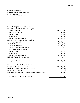# **Canton Township Water & Sewer Rate Analysis For the 2012 Budget Year**

# **Budgeted Operating Expenses**

| 592-536 - Water Maintenance Budget                              |               |
|-----------------------------------------------------------------|---------------|
| <b>Water Purchases</b>                                          | \$8,591,000   |
| <b>Meter Replacement</b>                                        | 216,000       |
| <b>Indirect Costs</b>                                           | 779,596       |
| Depreciation                                                    | 1,500,000     |
| Maintenance & Operations                                        | 2,862,999     |
| 592-537 - Sewer Maintenance Budget                              |               |
| Sewage Disposal                                                 | 7,328,459     |
| <b>WTUA Operations</b>                                          | 1,544,093     |
| <b>WTUA Debt Service</b>                                        | 2,866,815     |
| <b>WTUA Capital Improvements</b>                                | 123,072       |
| Interest Expense on bonds                                       | 3,277,233     |
| <b>Indirect Costs</b>                                           | 879,118       |
| Depreciation                                                    | 1,100,000     |
| Maintenance & Operations                                        | 2,303,844     |
| 592.560 - Water Billing Budget                                  | 454,339       |
| <b>Budgeted Operating Expenses</b>                              | \$33,826,568  |
| <b>Current Year Cash Requirements</b>                           |               |
| <b>Budgeted Operating Expenses</b>                              | \$33,826,568  |
| Less: Non-Cash Expenses (Depreciation)                          | (2,600,000)   |
| <b>Less: Other Revenues</b>                                     | (1, 394, 228) |
| Plus: Principal Payments (Not expensed, reduction of liability) | 1,650,000     |
|                                                                 |               |
| <b>Current Year Cash Requirements</b>                           | \$31,482,340  |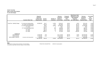# **Canton Township**

**Water & Sewer Rate Analysis**

#### **For the 2012 Budget**

|                               | <b>Customer Meter Size</b>       | Required<br><b>Revenues</b><br>to Meet Cash<br><b>Requirements</b> | Current<br>Amount | Number of<br><b>Customers</b> | Revenue<br>Projection<br><b>Based on</b><br><b>Current Rates</b> | Proposed<br>\$ Inc(Dec)<br>Over<br><b>Current Rate</b> | Water/Sewer Rate*<br><b>Required to Cover</b><br>2012 Budgeted<br><b>Expenses</b><br>per 1,000 Gallons | Revenue<br>Projection<br><b>Based on</b><br><b>Proposed Rates</b> | % Increase<br>Over<br>Current<br>Rate |
|-------------------------------|----------------------------------|--------------------------------------------------------------------|-------------------|-------------------------------|------------------------------------------------------------------|--------------------------------------------------------|--------------------------------------------------------------------------------------------------------|-------------------------------------------------------------------|---------------------------------------|
|                               |                                  |                                                                    |                   |                               |                                                                  |                                                        |                                                                                                        |                                                                   |                                       |
| Fixed Fee - Monthly Charge    | 1" (or less) w/o footing drains  | \$2,506,523                                                        | \$5.27            | 11,550                        | \$730,422                                                        | \$0.08                                                 | \$5.35                                                                                                 | \$741,510                                                         | 1.52%                                 |
|                               | 2.0" meter w/o footing drains    |                                                                    | \$21.08           | 1,474                         | \$372,863                                                        | \$0.32                                                 | \$21.40                                                                                                | \$378,523                                                         | 1.52%                                 |
|                               | 1" (or less) with footing drains |                                                                    | \$9.91            | 10,000                        | \$1,189,200                                                      | \$0.43                                                 | \$10.34                                                                                                | \$1,240,800                                                       | 4.34%                                 |
|                               | $1.5"$ meter                     |                                                                    | \$11.86           | 3                             | \$427                                                            | \$0.18                                                 | \$12.04                                                                                                | \$433                                                             | 1.52%                                 |
|                               | 2.0" meter with footing drains   |                                                                    | \$25.72           | 266                           | \$82,098                                                         | \$0.67                                                 | \$26.39                                                                                                | \$84,237                                                          | 2.60%                                 |
|                               | 3.0" meter                       |                                                                    | \$47.43           | 52                            | \$29,596                                                         | \$0.72                                                 | \$48.15                                                                                                | \$30,046                                                          | 1.52%                                 |
|                               | 4.0" meter                       |                                                                    | \$84.32           | 19                            | \$19,225                                                         | \$1.28                                                 | \$85.60                                                                                                | \$19,517                                                          | 1.52%                                 |
|                               | 6.0" meter                       |                                                                    | \$189.72          | 5                             | \$11,383                                                         | \$2.88                                                 | \$192.60                                                                                               | \$11,556                                                          | 1.52%                                 |
| Variable rate                 |                                  |                                                                    |                   |                               |                                                                  |                                                        |                                                                                                        |                                                                   |                                       |
| <b>Water Revenue</b>          |                                  | 10,926,389                                                         | 3.99              |                               | \$11,172,000                                                     | (\$0.09)                                               | \$3.90                                                                                                 | \$10,920,000                                                      | $-2.26%$                              |
| Sewer Revenue                 |                                  | 17,435,028                                                         | 6.40              |                               | \$17,920,000                                                     | (\$0.17)                                               | \$6.23                                                                                                 | \$17,444,000                                                      | $-2.66%$                              |
| <b>Add'I Sewage Treatment</b> | (Customers with footing drains)  | 614,400                                                            |                   |                               | \$511,680                                                        |                                                        |                                                                                                        | \$614,400                                                         |                                       |
|                               |                                  | \$31,482,340                                                       | \$10.39           | 23,369                        | \$32,038,894                                                     | (\$0.26)                                               | \$10.13                                                                                                | \$31,485,022                                                      | $-2.50%$                              |
|                               |                                  |                                                                    |                   |                               |                                                                  |                                                        |                                                                                                        |                                                                   |                                       |

#### **Notes:**

\* Rate based on average volume purchased, in thousand gallons: PROJECTED CONSUMPTION: 2,800,000 thousand gallons This assumes we get water and sewer charges on every unit billed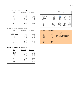#### **2012 Water Fixed Fee Service Charges**

| Size         | Bimonthly | Quarterly |  |
|--------------|-----------|-----------|--|
| 1" (or less) | 5.88      | 8.82      |  |
| 1.5"         | 13.24     | 19.86     |  |
| 2.0"         | 23.54     | 35.31     |  |
| 3.0"         | 52.98     | 79.47     |  |
| 4.0"         | 94.18     | 141.27    |  |
| 6.0"         | 211.92    | 317.88    |  |
| 8.0"         | 376.74    | 565.11    |  |
| 10.0"        | 588.66    | 882.99    |  |

|              |           |           |                   |          | Monthly  |        |        |
|--------------|-----------|-----------|-------------------|----------|----------|--------|--------|
| <b>Size</b>  | Bimonthly | Quarterly |                   |          |          | Water  | Sewer  |
|              |           |           | <b>Meter Size</b> | 2011 fee | 2012 fee | 55.02% | 44.98% |
| 1" (or less) | 5.88      | 8.82      | 1" (or less) w/o  | 5.27     | 5.35     | 2.94   | 2.41   |
| 1.5"         | 13.24     | 19.86     | 1" (or less) with | 9.91     | 10.34    | 2.94   | 7.40   |
| 2.0"         | 23.54     | 35.31     | 1.5"              | 11.86    | 12.04    | 6.62   | 5.42   |
| 3.0"         | 52.98     | 79.47     | $2.0"$ w/o        | 21.08    | 21.40    | 11.77  | 9.63   |
| 4.0"         | 94.18     | 141.27    | $2.0"$ with       | 25.72    | 26.39    | 11.77  | 14.62  |
| 6.0"         | 211.92    | 317.88    | 3.0"              | 47.43    | 48.15    | 26.49  | 21.66  |
| 8.0"         | 376.74    | 565.11    | 4.0"              | 84.32    | 85.60    | 47.09  | 38.51  |
| 10.0"        | 588.66    | 882.99    | 6.0"              | 189.72   | 192.60   | 105.96 | 86.64  |
|              |           |           | 8.0"              | 337.28   | 342.40   | 188.37 | 154.03 |
|              |           |           | 10.0"             | 527.00   | 535.00   | 294.33 | 240.67 |
|              |           |           |                   |          |          |        |        |

## **2012 Sewer Fixed Fee Service Charges**

| Size                    | Bimonthly | Quarterly | <b>Meter Size</b> | <b>Meter Ratios</b> | <b>Notes</b> |
|-------------------------|-----------|-----------|-------------------|---------------------|--------------|
|                         |           |           | 1" (or less)      | 1.00                | withou       |
| 1" (or less) without FD | 4.82      | 7.23      | 1" (or less)      | 1.00                | with fo      |
| 1" (or less) with FD    | 14.80     | 22.20     | 1.5"              | 2.25                |              |
| 1.5"                    | 10.84     | 16.26     | 2.0"              | 4.00                | withou       |
| 2.0"                    | 19.26     | 28.89     | 2.0"              | 4.00                | with fo      |
| 3.0"                    | 43.32     | 64.98     | 3.0"              | 9.00                |              |
| 4.0"                    | 77.02     | 115.53    | 4.0"              | 16.00               |              |
| 6.0"                    | 173.28    | 259.92    | 6.0"              | 36.00               |              |
| 8.0"                    | 308.06    | 462.09    | 8.0"              | 64.00               |              |
| 10.0"                   | 481.34    | 722.01    | 10.0"             | 100.00              |              |
|                         |           |           |                   |                     |              |

| <b>Size</b>             | <b>Bimonthly</b> | Quarterly | <b>Meter Size</b> | <b>Meter Ratios</b> | <b>Notes</b>                     |
|-------------------------|------------------|-----------|-------------------|---------------------|----------------------------------|
|                         |                  |           | $1"$ (or less)    | 1.00                | without footing drains connected |
| 1" (or less) without FD | 4.82             | 7.23      | $1"$ (or less)    | 1.00                | with footing drains connected    |
| 1" (or less) with FD    | 14.80            | 22.20     | 1.5"              | 2.25                |                                  |
| 1.5"                    | 10.84            | 16.26     | 2.0"              | 4.00                | without footing drains connected |
| 2.0"                    | 19.26            | 28.89     | 2.0"              | 4.00                | with footing drains connected    |
| 3.0"                    | 43.32            | 64.98     | 3.0"              | 9.00                |                                  |
| 4.0"                    | 77.02            | 115.53    | 4.0"              | 16.00               |                                  |
| 6.0"                    | 173.28           | 259.92    | 6.0"              | 36.00               |                                  |
| 8.0"                    | 308.06           | 462.09    | 8.0"              | 64.00               |                                  |
| 10.0"                   | 481.34           | 722.01    | 10.0"             | 100.00              |                                  |
|                         |                  |           |                   |                     |                                  |

#### **2012 Total Fixed Fee Service Charges**

| Size         | Bimonthly | Quarterly |
|--------------|-----------|-----------|
|              |           |           |
| 1" (or less) | 10.70     | 16.05     |
| 1" (or less) | 28.04     | 42.06     |
| 1.5"         | 24.08     | 36.12     |
| 2.0"         | 42.80     | 64.20     |
| 3.0"         | 96.30     | 144.45    |
| 4.0"         | 171.20    | 256.80    |
| 6.0"         | 385.20    | 577.80    |
| 8.0"         | 684.80    | 1,027.20  |
| 10.0"        | 1,070.00  | 1.605.00  |
|              |           |           |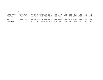#### **Canton Township Cash and Investment History**

|                                                               | 1997                                  | 1998                  | 1999                                               | 2000                                                                        | 2001                  | 2002                  | 2003                  | 2004                                  | 2005                             | 2006                                     | 2007                                           | 2008                                 | 2009                                 | 2010                                 | 2011                                   |
|---------------------------------------------------------------|---------------------------------------|-----------------------|----------------------------------------------------|-----------------------------------------------------------------------------|-----------------------|-----------------------|-----------------------|---------------------------------------|----------------------------------|------------------------------------------|------------------------------------------------|--------------------------------------|--------------------------------------|--------------------------------------|----------------------------------------|
| Cash and cash equivalents<br>Investments<br>Restricted assets | \$19.329.481<br>12.253.050<br>208.425 | 15.016.269<br>206.632 | \$23,792,673 \$21,608,568<br>20.785.038<br>204.588 | \$32,441,985 \$28,040,505 \$10,396,549 \$2,639,961<br>14.575.001<br>202.295 | 20.102.119<br>173,325 | 17,994,363<br>165,325 | 27.244.640<br>163.450 | 1,215,735 \$<br>29.357.464<br>156.450 | 367.309<br>26.791.414<br>149.450 | 1.127.553<br>$\mathcal{P}$<br>18.068.304 | 7.415.892 \$<br>- 5<br>6.845.841<br>43.377.714 | 3.611.224<br>8.836.014<br>29.719.039 | 1.234.533<br>8.693.832<br>18.055.888 | 2.542.951<br>7.845.446<br>14,034,887 | \$7.377.409<br>6,155,463<br>12.214.488 |
|                                                               | 31.790.956                            | 39.015.574            | 42.598.194                                         | 47.219.281                                                                  | 48.315.949            | 28.556.237            | 30.048.051            | 30.729.649                            | 27,308,173                       | 19.195.857                               | 57.639.447                                     | 42.166.277                           | 27.984.253                           | 24.423.284                           | 25.747.360                             |
| Cash available                                                | 31.582.53                             | 38.808.942            | 42.393.606                                         | 47.016.986                                                                  | 48.142.624            | 28.390.912 29.884.601 |                       | 30.573.199                            | 27.158.723                       | 19.195.857                               | 14.261.733                                     | 12.447.238                           | 9.928.365                            | 10.388.397                           | 13.532.872                             |
| Change from prior year                                        |                                       | 7.226.411             | 3.584.664                                          | 4.623.380                                                                   | 1,125,638             | (19, 751, 712)        | 1.493.689             | 688,598                               | (3,414,476)                      | (7,962,866)                              | (4,934,124)                                    | (1,814,495)                          | (2,518,873)                          | 460.032                              | 3.144.475                              |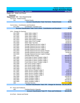|                                               |                                                                                    | <b>Charter Township of Canton</b> |
|-----------------------------------------------|------------------------------------------------------------------------------------|-----------------------------------|
|                                               |                                                                                    | <b>Budget Worksheet Report</b>    |
|                                               | <b>Account Number Description</b>                                                  | 2011 Board                        |
| Fund: 592 - Water and Sewer                   |                                                                                    |                                   |
| <b>Revenues</b>                               |                                                                                    |                                   |
| Department: 000 - Non-Departmental            |                                                                                    |                                   |
| Fed Grnts - Federal Grants                    |                                                                                    |                                   |
| 501                                           | <b>Federal Grants</b>                                                              | 0.00                              |
|                                               | <b>Account Classification Total: Fed Grnts - Federal Grants</b>                    | \$0.00                            |
|                                               |                                                                                    |                                   |
|                                               | Cont & Dons - Contributions and Donations                                          |                                   |
| 674 0001                                      | <b>Contributions Donated Lines</b>                                                 | 0.00                              |
|                                               | <b>Account Classification Total: Cont &amp; Dons - Contributions and Donations</b> | \$0.00                            |
|                                               |                                                                                    |                                   |
| <b>CFS - Charges for Services</b><br>642 0000 |                                                                                    |                                   |
| 642_0001                                      | Water Sales Ledger 0<br>Water Sales Ledger 1                                       | 4,500,000.00                      |
| 642_0002                                      | Water Sales Ledger 2                                                               | 1,500,000.00<br>2,600,000.00      |
| 642_0003                                      | Water Sales Ledger 3                                                               | 2,750,000.00                      |
| 642_0010                                      | <b>Water Sales Equity Charges</b>                                                  | 160,000.00                        |
| 642 0015                                      | Water Sales Front Footage                                                          | 10,000.00                         |
| 642_0020                                      | <b>Water Sales Tap Fees</b>                                                        | 90,000.00                         |
| 643_0000                                      | Sewage Disposal Services Ledger 0                                                  | 7,400,000.00                      |
| 643_0001                                      | Sewage Disposal Services Ledger 1                                                  | 2,500,000.00                      |
| 643_0002                                      | Sewage Disposal Services Ledger 2                                                  | 4,150,000.00                      |
| 643_0003                                      | Sewage Disposal Services Ledger 3                                                  | 4,150,000.00                      |
| 643_0010                                      | Sewage Disposal Services Equity Charges                                            | 300,000.00                        |
| 643_0015                                      | Sewage Disposal Services Front Footage                                             | 20,000.00                         |
| 643_0020                                      | Sewage Disposal Services Capital Charges                                           | 0.00                              |
| 644                                           | Industrial Waste Charge                                                            | 400,000.00                        |
| 645_0000                                      | Fixed Water & Sewer Charges Ledger 0                                               | 650,000.00                        |
| 645_0001                                      | Fixed Water & Sewer Charges Ledger 1                                               | 300,000.00                        |
| 645_0002                                      | Fixed Water & Sewer Charges Ledger 2                                               | 700,000.00                        |
| 645_0003                                      | Fixed Water & Sewer Charges Ledger 3                                               | 700,000.00                        |
| 646_0000                                      | Non-Sump Charge Ledger 0                                                           | 0.00                              |
| 646_0001                                      | Non-Sump Charge Ledger 1                                                           | 0.00                              |
| 646_0002                                      | Non-Sump Charge Ledger 2                                                           | 0.00                              |
| 646_0003                                      | Non-Sump Charge Ledger 3                                                           | 0.00                              |
| 647_0000                                      | Water Service Charges Ledger 0                                                     | 3,000.00                          |
| 647_0001                                      | Water Service Charges Ledger 1                                                     | 15,000.00                         |
| 647_0002                                      | Water Service Charges Ledger 2                                                     | 8,000.00                          |
| 647_0003                                      | Water Service Charges Ledger 3                                                     | 10,000.00                         |
| 648_0000                                      | Water Penalties Ledger 0                                                           | 100,000.00                        |
| 648_0001                                      | Water Penalties Ledger 1                                                           | 75,000.00                         |
| 648 0002                                      | <b>Water Penalties Ledger 2</b>                                                    | 200,000.00                        |
| 648_0003                                      | Water Penalties Ledger 3                                                           | 200,000.00                        |
| 656                                           | <b>Interdept Services</b>                                                          | 0.00                              |
|                                               | Account Classification Total: CFS - Charges for Services \$33,491,000.00           |                                   |
| FF - Fines and Forfeitures                    |                                                                                    |                                   |
| 663                                           | Forfeited Bonds & Deposits                                                         | 20,000.00                         |
|                                               |                                                                                    |                                   |

**\$20,000.00 Account Classification Total: FF - Fines and Forfeitures**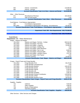| 664                                         | Interest - Investments                                                           | 110,000.00        |
|---------------------------------------------|----------------------------------------------------------------------------------|-------------------|
| 665                                         | Interest - Savings                                                               | 5,000.00          |
|                                             | <b>Account Classification Total: Int &amp; Rent - Interest and Rental</b>        | \$115,000.00      |
| Other - Other Revenues                      |                                                                                  |                   |
| 671                                         | Miscellaneous Revenue                                                            | 104,228.00        |
| 673                                         | Sale of Fixed Assets                                                             | 0.00              |
|                                             | <b>Account Classification Total: Other - Other Revenues</b>                      | \$104,228.00      |
|                                             |                                                                                  |                   |
| Fund Balance - Fund Balance Appropriation   |                                                                                  |                   |
| 695                                         | Fund Balance Appropriation                                                       | 0.00              |
| 695_0001                                    | Fund Balance Appropriation F/B Approp - Encumbrances                             | 40,340.00         |
|                                             | <b>Account Classification Total: Fund Balance - Fund Balance Appropriation</b>   | \$40,340.00       |
|                                             |                                                                                  |                   |
|                                             | Department Total: 000 - Non-Departmental \$33,770,568.00                         |                   |
|                                             |                                                                                  |                   |
|                                             | Revenues Total \$33,770,568.00                                                   |                   |
| <b>Expenditures</b>                         |                                                                                  |                   |
| Department: 536 - Water Maintenance         |                                                                                  |                   |
| Wages - Salaries and Wages                  |                                                                                  |                   |
| 705_0010                                    | Salaries and Wages Full-time - Civilian                                          | 840,312.00        |
| 705_0015                                    | Salaries and Wages Part-time                                                     | 23,000.00         |
| 705_0020                                    | Salaries and Wages Longevity                                                     | 13,200.00         |
| 705_0025                                    | Salaries and Wages Holiday Pay                                                   | 0.00              |
| 705_0035                                    | Salaries and Wages Meal Allowance                                                | 0.00              |
| 705_0055                                    | Salaries and Wages Pay In Lieu                                                   | 3,600.00          |
| 705_0060                                    | Salaries and Wages Physical Skills                                               | 625.00            |
| 705_0080                                    | Salaries and Wages Vacation Payout                                               | 7,517.00          |
| 705_0085                                    | Salaries and Wages Sick Payout                                                   | 0.00              |
| 708_0015                                    | Overtime Overtime                                                                | 16,000.00         |
|                                             | <b>Account Classification Total: Wages - Salaries and Wages</b>                  | \$904,254.00      |
|                                             |                                                                                  |                   |
| Fringes - Payroll Taxes and Fringe Benefits |                                                                                  |                   |
| 720_0010<br>720 0020                        | <b>Fringe Benefits FICA</b>                                                      | 69,176.00<br>0.00 |
| 720_0025                                    | Fringe Benefits Unemployment<br><b>Fringe Benefits Medical</b>                   | 139,232.00        |
| 720_0030                                    | <b>Fringe Benefits Dental</b>                                                    | 19,334.00         |
| 720_0035                                    | <b>Fringe Benefits Optical</b>                                                   | 2,200.00          |
| 720_0040                                    | <b>Fringe Benefits Life</b>                                                      | 1,341.00          |
| 720_0045                                    | <b>Fringe Benefits Disability</b>                                                | 1,081.00          |
| 720_0050                                    | <b>Fringe Benefits Pension Contribution</b>                                      | 116,503.00        |
| 720_0060                                    | <b>Fringe Benefits OPEB</b>                                                      | 57,827.00         |
| 720_0065                                    | <b>Fringe Benefits Workers Comp</b>                                              | 28,433.00         |
|                                             | <b>Account Classification Total: Fringes - Payroll Taxes and Fringe Benefits</b> | \$435,127.00      |
|                                             |                                                                                  |                   |
| Supplies - Supplies                         |                                                                                  |                   |
| 722                                         | Uniforms                                                                         | 7,643.00          |
| 727                                         | <b>Office Supplies</b>                                                           | 1,950.00          |
| 728                                         | <b>Books &amp; Subscriptions</b>                                                 | 400.00            |
| 740                                         | <b>Operating Supplies</b>                                                        | 29,000.00         |
|                                             | <b>Account Classification Total: Supplies - Supplies</b>                         | \$38,993.00       |

Other Services - Other Services and Charges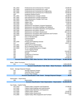| 801_0010                        | <b>Professional and Contractual Svc Financial</b>                                | 20,000.00      |
|---------------------------------|----------------------------------------------------------------------------------|----------------|
| 801_0020                        | Professional and Contractual Svc Legal                                           | 9,150.00       |
| 801_0040                        | Professional and Contractual Svc Engineering                                     | 68,000.00      |
| 801_0050                        | Professional and Contractual Svc Professional                                    | 60,000.00      |
| 835                             | <b>Employee Medical Exams</b>                                                    | 2,440.00       |
| 861_0001                        | Fleet Maintenance Charges Vehicle                                                | 90,368.00      |
| 861_0002                        | Fleet Maintenance Charges Equipment                                              | 30,396.00      |
| 861_0003                        | <b>Fleet Maintenance Charges Fuel Costs</b>                                      | 31,491.00      |
| 920_0010                        | <b>Utilities Electric</b>                                                        | 18,550.00      |
| 920_0020                        | <b>Utilities Gas</b>                                                             | 12,000.00      |
| 920_0030                        | <b>Utilities Water</b>                                                           | 2,850.00       |
| 930_0010                        | Maintenance and Repair Computer Equipment                                        | 47,518.00      |
| 930_0020                        | Maintenance and Repair Buildings and Additions                                   | 3,500.00       |
| 930_0030                        | Maintenance and Repair Machinery and Equipment                                   | 4,100.00       |
| 930_0040                        | Maintenance and Repair Vehicles                                                  | 48,800.00      |
| 930_0050                        | Maintenance and Repair Infrastructure                                            | 264,103.00     |
| 930 0060                        | Maintenance and Repair Office Equipment and Furniture                            | 1,830.00       |
| 930_0070                        | Maintenance and Repair Grounds                                                   | 9,150.00       |
| 805                             | Dues & Memberships                                                               | 1,088.00       |
| 850                             | Communiciations                                                                  | 22,780.00      |
| 860                             | Transportation                                                                   | 1,500.00       |
| 900_0040                        | Printing and Publishing General                                                  | 2,000.00       |
| 911                             | Liability Insurance                                                              | 92,971.00      |
| 924_0001                        | <b>WTUA WTUA Administration</b>                                                  | 0.00           |
| 924_0002                        | WTUA Retention Basin O & M                                                       | 0.00           |
| 924_0003                        | WTUA Capital/Maintenance Charges                                                 | 0.00           |
| 925                             | <b>YCUA Capacity Rental</b>                                                      | 0.00           |
| 939                             | <b>Inventory Purchased</b>                                                       | 216,000.00     |
| 940                             | Rentals                                                                          | 10,729.00      |
| 955                             | <b>Conference &amp; Seminars</b>                                                 | 9,272.00       |
| 956                             | Miscellaneous                                                                    | 4,000.00       |
| 965                             | <b>Indirect Costs</b>                                                            | 779,596.00     |
|                                 | <b>Account Classification Total: Other Services - Other Services and Charges</b> | \$1,864,182.00 |
|                                 |                                                                                  |                |
| Water - Water Purchases         |                                                                                  |                |
| 921                             | <b>Water Purchases</b>                                                           | 8,591,000.00   |
|                                 | <b>Account Classification Total: Water - Water Purchases</b>                     | \$8,591,000.00 |
|                                 |                                                                                  |                |
| Sewer - Sewage Disposal Charges |                                                                                  |                |
| 922                             | Sewage Disposal Charges                                                          | 0.00           |
| 923                             | <b>Industrial Waste Charges</b>                                                  | 0.00           |
| 927                             | <b>Excess Flow Charges</b>                                                       | 0.00           |
|                                 | <b>Account Classification Total: Sewer - Sewage Disposal Charges</b>             | \$0.00         |
|                                 |                                                                                  |                |
| Depreciation - Depreciation     |                                                                                  |                |
| 968                             | Depreciation                                                                     | 1,500,000.00   |
|                                 | <b>Account Classification Total: Depreciation - Depreciation</b>                 | \$1,500,000.00 |
|                                 |                                                                                  |                |
| Cap Outlay - Capital Outlay     |                                                                                  |                |
| 970_0010                        | Capital Outlay Computers and Equipment                                           | 37,039.00      |
| 970_0020                        | Capital Outlay Buildings and Improvements                                        | 0.00           |
| 970_0030                        | Capital Outlay Machinery and Equipment                                           | 0.00           |
| 970_0040                        | <b>Capital Outlay Vehicles</b>                                                   | 52,000.00      |
| 970_0050                        | Capital Outlay Infrastructure                                                    | 450,000.00     |
| 970_0060                        | Capital Outlay Office Equipment and Furniture                                    | 0.00           |
|                                 |                                                                                  |                |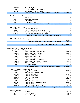| 970_0070                                    | <b>Capital Outlay Land</b>                                                                                              | 0.00                      |
|---------------------------------------------|-------------------------------------------------------------------------------------------------------------------------|---------------------------|
| 970_0080                                    | <b>Capital Outlay Land Improvements</b>                                                                                 | 0.00                      |
| 970 0090                                    | Capital Outlay Work in Progress                                                                                         | 0.00                      |
|                                             | <b>Account Classification Total: Cap Outlay - Capital Outlay</b>                                                        | \$539,039.00              |
| Debt Svc - Debt Service                     |                                                                                                                         |                           |
| 991                                         | <b>Bond Principal</b>                                                                                                   | 0.00                      |
| 995                                         | <b>Bond Interest Expense</b>                                                                                            | 0.00                      |
| 997                                         | Amortization                                                                                                            | 0.00                      |
| 998                                         | Paying Agent Fees                                                                                                       | 0.00                      |
|                                             | <b>Account Classification Total: Debt Svc - Debt Service</b>                                                            | \$0.00                    |
|                                             |                                                                                                                         |                           |
| <b>Transfers - Transfers Out</b>            |                                                                                                                         |                           |
| 999_1010                                    | <b>Transfers Out General</b>                                                                                            | 0.00<br>0.00              |
| 999_4020<br>999_6610                        | Transfers Out Cap Projects - W&S<br>Transfers Out Fleet Maintenance & Operations                                        | 0.00                      |
| 999 7360                                    | <b>Transfers Out Post Employment Benefits</b>                                                                           | 0.00                      |
|                                             | <b>Account Classification Total: Transfers - Transfers Out</b>                                                          | \$0.00                    |
|                                             |                                                                                                                         |                           |
| Transfers - Transfers In                    |                                                                                                                         |                           |
|                                             | 990 Transfers in Fund Balance                                                                                           | \$77,000.00               |
|                                             | <b>Account Classification Total: Transfers - Transfers IN</b>                                                           | \$77,000.00               |
|                                             |                                                                                                                         |                           |
|                                             | Department Total: 536 - Water Maintenance \$13,949,595.00                                                               |                           |
| Department: 537 - Sewer Maintenance         |                                                                                                                         |                           |
| Wages - Salaries and Wages                  |                                                                                                                         |                           |
| 705_0010                                    | Salaries and Wages Full-time - Civilian                                                                                 | 774,663.00                |
| 705_0015                                    | Salaries and Wages Part-time                                                                                            | 11,500.00                 |
| 705_0020                                    | Salaries and Wages Longevity                                                                                            | 10,400.00                 |
| 705_0025                                    | Salaries and Wages Holiday Pay                                                                                          | 0.00                      |
| 705_0055                                    | Salaries and Wages Pay In Lieu                                                                                          | 1,320.00                  |
| 705_0060                                    | Salaries and Wages Physical Skills                                                                                      | 375.00                    |
| 705_0080                                    | Salaries and Wages Vacation Payout                                                                                      | 4,552.00                  |
| 705_0085                                    | Salaries and Wages Sick Payout                                                                                          | 0.00                      |
| 708_0015                                    | Overtime Overtime                                                                                                       | 5,500.00                  |
|                                             | <b>Account Classification Total: Wages - Salaries and Wages</b>                                                         | \$808,310.00              |
| Fringes - Payroll Taxes and Fringe Benefits |                                                                                                                         |                           |
| 720_0010                                    | <b>Fringe Benefits FICA</b>                                                                                             | 61,796.00                 |
| 720_0020                                    | <b>Fringe Benefits Unemployment</b>                                                                                     | 0.00                      |
| 720_0025                                    | <b>Fringe Benefits Medical</b>                                                                                          | 162,422.00                |
| 720_0030                                    | <b>Fringe Benefits Dental</b>                                                                                           | 17,185.00                 |
| 720_0035                                    | <b>Fringe Benefits Optical</b>                                                                                          | 1,600.00                  |
| 720_0040                                    | Fringe Benefits Life                                                                                                    | 1,246.00                  |
| 720 0045                                    | <b>Fringe Benefits Disability</b>                                                                                       | 1,009.00                  |
| 720_0050                                    | <b>Fringe Benefits Pension Contribution</b>                                                                             | 109,544.00                |
| 720_0060                                    | <b>Fringe Benefits OPEB</b>                                                                                             | 53,769.00                 |
| 720_0065                                    | <b>Fringe Benefits Workers Comp</b><br><b>Account Classification Total: Fringes - Payroll Taxes and Fringe Benefits</b> | 26,807.00<br>\$435,378.00 |
|                                             |                                                                                                                         |                           |
| Supplies - Supplies                         |                                                                                                                         |                           |
| 722                                         |                                                                                                                         |                           |
| 727                                         | Uniforms                                                                                                                | 6,955.00                  |
|                                             | <b>Office Supplies</b>                                                                                                  | 1,248.00                  |
| 728                                         | <b>Books &amp; Subscriptions</b>                                                                                        | 273.00                    |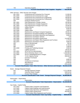| 740                                         | 7,560.00                                                                              |                          |  |  |  |
|---------------------------------------------|---------------------------------------------------------------------------------------|--------------------------|--|--|--|
|                                             | <b>Operating Supplies</b><br><b>Account Classification Total: Supplies - Supplies</b> | \$16,036.00              |  |  |  |
|                                             |                                                                                       |                          |  |  |  |
| Other Services - Other Services and Charges |                                                                                       |                          |  |  |  |
| 801_0010                                    | Professional and Contractual Svc Financial                                            | 21,500.00                |  |  |  |
| 801_0020                                    | Professional and Contractual Svc Legal                                                | 15,000.00                |  |  |  |
| 801_0040                                    | Professional and Contractual Svc Engineering                                          | 68,000.00                |  |  |  |
| 801_0050                                    | Professional and Contractual Svc Professional                                         | 20,000.00                |  |  |  |
| 835                                         | <b>Employee Medical Exams</b>                                                         | 1,560.00                 |  |  |  |
| 861_0001                                    | Fleet Maintenance Charges Vehicle                                                     | 59,206.00                |  |  |  |
| 861_0002                                    | Fleet Maintenance Charges Equipment                                                   | 34,276.00                |  |  |  |
| 861_0003                                    | Fleet Maintenance Charges Fuel Costs                                                  | 20,040.00                |  |  |  |
| 920_0010                                    | <b>Utilities Electric</b>                                                             | 21,515.00                |  |  |  |
| 920_0020                                    | <b>Utilities Gas</b>                                                                  | 8,000.00                 |  |  |  |
| 920_0030                                    | <b>Utilities Water</b>                                                                | 1,820.00                 |  |  |  |
| 930_0010                                    | Maintenance and Repair Computer Equipment                                             | 30,261.00                |  |  |  |
| 930_0020                                    | Maintenance and Repair Buildings and Additions                                        | 10,639.00                |  |  |  |
| 930 0030                                    | Maintenance and Repair Machinery and Equipment                                        | 3,000.00                 |  |  |  |
| 930_0040                                    | Maintenance and Repair Vehicles                                                       | 0.00                     |  |  |  |
| 930_0050                                    | Maintenance and Repair Infrastructure                                                 | 114,000.00               |  |  |  |
| 930 0060                                    | Maintenance and Repair Office Equipment and Furniture                                 | 1,170.00                 |  |  |  |
| 930_0070                                    | Maintenance and Repair Grounds                                                        | 5,850.00                 |  |  |  |
| 805                                         | Dues & Memberships                                                                    | 592.00                   |  |  |  |
| 850                                         | Communiciations                                                                       | 6,720.00                 |  |  |  |
| 860                                         | Transportation                                                                        | 1,500.00                 |  |  |  |
| 900_0040                                    | Printing and Publishing General                                                       | 2,500.00                 |  |  |  |
| 911                                         | Liability Insurance                                                                   | 59,441.00                |  |  |  |
| 924_0001                                    | <b>WTUA WTUA Administration</b>                                                       | 354,000.00               |  |  |  |
| 924_0002                                    | WTUA Retention Basin O & M                                                            | 1,190,093.00             |  |  |  |
| 924_0003                                    | WTUA Capital/Maintenance Charges                                                      | 123,072.00               |  |  |  |
| 925                                         | <b>YCUA Capacity Rental</b>                                                           | 338,593.00               |  |  |  |
| 939                                         | <b>Inventory Purchased</b>                                                            | 0.00                     |  |  |  |
| 940                                         | Rentals                                                                               | 6,860.00                 |  |  |  |
| 955                                         | <b>Conference &amp; Seminars</b>                                                      | 5,928.00                 |  |  |  |
| 956                                         | Miscellaneous                                                                         | 14,858.00                |  |  |  |
| 965                                         | <b>Indirect Costs</b>                                                                 | 879,118.00               |  |  |  |
|                                             | <b>Account Classification Total: Other Services - Other Services and Charges</b>      | \$3,419,112.00           |  |  |  |
| Sewer - Sewage Disposal Charges             |                                                                                       |                          |  |  |  |
| 922                                         |                                                                                       |                          |  |  |  |
| 923                                         | Sewage Disposal Charges                                                               | 5,711,200.00             |  |  |  |
| 927                                         | <b>Industrial Waste Charges</b><br><b>Excess Flow Charges</b>                         | 536,019.00<br>742,647.00 |  |  |  |
|                                             | <b>Account Classification Total: Sewer - Sewage Disposal Charges</b>                  | \$6,989,866.00           |  |  |  |
|                                             |                                                                                       |                          |  |  |  |
| Depreciation - Depreciation                 |                                                                                       |                          |  |  |  |
| 968                                         | Depreciation                                                                          | 1,100,000.00             |  |  |  |
|                                             | <b>Account Classification Total: Depreciation - Depreciation</b>                      | \$1,100,000.00           |  |  |  |
|                                             |                                                                                       |                          |  |  |  |
| Cap Outlay - Capital Outlay                 |                                                                                       |                          |  |  |  |
| 970_0010                                    | Capital Outlay Computers and Equipment                                                | 34,559.00                |  |  |  |
| 970_0020                                    | Capital Outlay Buildings and Improvements                                             | 0.00                     |  |  |  |
| 970_0030                                    | Capital Outlay Machinery and Equipment                                                | 25,000.00                |  |  |  |
| 970_0050                                    | Capital Outlay Infrastructure                                                         | 450,000.00               |  |  |  |
| 970_0060                                    | Capital Outlay Office Equipment and Furniture                                         | 0.00                     |  |  |  |
|                                             | <b>Account Classification Total: Cap Outlay - Capital Outlay</b>                      | \$509,559.00             |  |  |  |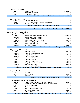| Debt Svc - Debt Service                     |                                                                                  |                       |
|---------------------------------------------|----------------------------------------------------------------------------------|-----------------------|
| 991                                         | <b>Bond Principal</b>                                                            | 2,866,815.00          |
| 995                                         | <b>Bond Interest Expense</b>                                                     | 3,277,233.00          |
| 998                                         | Paying Agent Fees                                                                | 325.00                |
|                                             | <b>Account Classification Total: Debt Svc - Debt Service</b>                     | \$6,144,373.00        |
|                                             |                                                                                  |                       |
| <b>Transfers - Transfers Out</b>            |                                                                                  |                       |
| 999_1010                                    | <b>Transfers Out General</b>                                                     | 0.00                  |
| 999_6610                                    | Transfers Out Fleet Maintenance & Operations                                     | 0.00                  |
| 999_7360                                    | <b>Transfers Out Post Employment Benefits</b>                                    | 0.00                  |
|                                             | <b>Account Classification Total: Transfers - Transfers Out</b>                   | \$0.00                |
|                                             |                                                                                  |                       |
|                                             | Department Total: 537 - Sewer Maintenance \$19,422,634.00                        |                       |
|                                             |                                                                                  |                       |
| Department: 560 - Water Billing             |                                                                                  |                       |
| Wages - Salaries and Wages                  |                                                                                  |                       |
| 705_0010                                    | Salaries and Wages Full-time - Civilian                                          | 207,914.00            |
| 705_0015                                    | Salaries and Wages Part-time                                                     | 0.00                  |
| 705_0020                                    | Salaries and Wages Longevity                                                     | 2,040.00              |
| 705_0055                                    | Salaries and Wages Pay In Lieu                                                   | 2,400.00              |
| 705_0060                                    | Salaries and Wages Physical Skills                                               | 100.00                |
| 705_0080                                    | Salaries and Wages Vacation Payout                                               | 0.00                  |
| 708_0015                                    | Overtime Overtime                                                                | 2,000.00              |
|                                             | <b>Account Classification Total: Wages - Salaries and Wages</b>                  | \$214,454.00          |
|                                             |                                                                                  |                       |
| Fringes - Payroll Taxes and Fringe Benefits |                                                                                  |                       |
| 720_0010                                    | <b>Fringe Benefits FICA</b>                                                      | 16,405.00             |
| 720_0020                                    | <b>Fringe Benefits Unemployment</b>                                              | 0.00                  |
| 720_0025                                    | <b>Fringe Benefits Medical</b>                                                   | 32,909.00             |
| 720_0030                                    | <b>Fringe Benefits Dental</b>                                                    | 6,587.00              |
| 720_0035                                    | <b>Fringe Benefits Optical</b>                                                   | 400.00<br>400.00      |
| 720_0040                                    | Fringe Benefits Life<br><b>Fringe Benefits Disability</b>                        | 301.00                |
| 720_0045                                    |                                                                                  |                       |
| 720_0050<br>720_0060                        | <b>Fringe Benefits Pension Contribution</b><br><b>Fringe Benefits OPEB</b>       | 29,984.00<br>9,811.00 |
| 720_0065                                    | <b>Fringe Benefits Workers Comp</b>                                              | 488.00                |
|                                             | <b>Account Classification Total: Fringes - Payroll Taxes and Fringe Benefits</b> | \$97,285.00           |
|                                             |                                                                                  |                       |
| Supplies - Supplies                         |                                                                                  |                       |
| 722                                         | Uniforms                                                                         | 0.00                  |
| 727                                         | <b>Office Supplies</b>                                                           | 1,900.00              |
| 729                                         | Postage                                                                          | 40,000.00             |
|                                             | <b>Account Classification Total: Supplies - Supplies</b>                         | \$41,900.00           |
|                                             |                                                                                  |                       |
| Other Services - Other Services and Charges |                                                                                  |                       |
| 801_0050                                    | Professional and Contractual Svc Professional                                    | 63,000.00             |
| 930_0060                                    | Maintenance and Repair Office Equipment and Furniture                            | 5,200.00              |
| 805                                         | Dues & Memberships                                                               | 0.00                  |
| 860                                         | Transportation                                                                   | 0.00                  |
| 900_0040                                    | Printing and Publishing General                                                  | 22,000.00             |
| 955                                         | <b>Conference &amp; Seminars</b>                                                 | 1,500.00              |
| 956                                         | Miscellaneous                                                                    | 500.00                |
|                                             | Account Classification Total: Other Services - Other Services and Charges        | \$92,200.00           |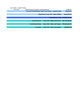| Cap Outlay - Capital Outlay                                      |                         |                                              |                 |
|------------------------------------------------------------------|-------------------------|----------------------------------------------|-----------------|
| 970 0010<br><b>Capital Outlay Computers and Equipment</b>        |                         |                                              |                 |
| <b>Account Classification Total: Cap Outlay - Capital Outlay</b> |                         |                                              | \$8,500.00      |
|                                                                  |                         |                                              |                 |
|                                                                  |                         | <b>Department Total: 560 - Water Billing</b> | \$454,339.00    |
|                                                                  |                         |                                              |                 |
|                                                                  |                         | Expenditures Total \$33,826,568.00           |                 |
|                                                                  |                         |                                              |                 |
|                                                                  | <b>Fund Revenue</b>     | <b>Total: 592 - Water and Sewer</b>          | \$33,770,568.00 |
|                                                                  |                         |                                              |                 |
|                                                                  | <b>Fund Expenditure</b> | <b>Total: 592 - Water and Sewer</b>          | \$33,826,568.00 |
|                                                                  |                         |                                              |                 |
|                                                                  | <b>Fund Net</b>         | <b>Total: 592 - Water and Sewer</b>          | ( \$56,000.00)  |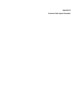**Appendix B** 

**Customer Rate Impact Examples**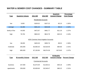# **WATER & SEWER COST CHANGES - SUMMARY TABL E**

| <b>Type</b>                                | <b>Quarterly Volume</b>     | 2011 Bill        | <b>2012 Bill</b> | Quarterly<br><b>Amount Change</b> | <b>Percentage</b><br><b>Cost Change</b> |  |
|--------------------------------------------|-----------------------------|------------------|------------------|-----------------------------------|-----------------------------------------|--|
|                                            | <b>Residential Accounts</b> |                  |                  |                                   |                                         |  |
| low                                        | 9,000                       | \$109.32         | \$107.22         | $-$2.10$                          | $-1.92%$                                |  |
| average                                    | 32,283                      | \$351.23         | \$343.08         | $-$ \$8.15                        | $-2.32%$                                |  |
| family of five                             | 44,000                      | \$472.97         | \$461.77         | $-$11.20$                         | $-2.37%$                                |  |
| high                                       | 78,750                      | \$834.02         | \$813.79         | $-$20.23$                         | $-2.43%$                                |  |
| <b>HOA Common Area Irrigation Accounts</b> |                             |                  |                  |                                   |                                         |  |
| low                                        | 38,000                      | \$403.28         | \$393.76         | $-$9.52$                          | $-2.36%$                                |  |
| moderate                                   | 255,000                     | \$2,683.26       | \$2,618.46       | $-$ \$64.80                       | $-2.41%$                                |  |
| high                                       | 685,000                     | \$7,150.96       | \$6,974.36       | $-$176.60$                        | $-2.47%$                                |  |
|                                            |                             |                  |                  |                                   |                                         |  |
| <b>Bi-Monthly</b>                          |                             |                  |                  |                                   |                                         |  |
| <b>Type</b>                                | <b>Bi-monthly Volume</b>    | <b>2011 Bill</b> | <b>2012 Bill</b> | <b>Amount Change</b>              | <b>Percent Change</b>                   |  |
| <b>Commercial Accounts</b>                 |                             |                  |                  |                                   |                                         |  |
| business                                   | 157,000                     | \$1,673.39       | \$1,633.21       | $-$40.18$                         | $-2.40%$                                |  |
| apartments                                 | 239,000                     | \$2,609.69       | \$2,549.47       | $-$ \$60.22                       | $-2.31%$                                |  |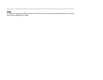# **Notes:**

1) These are sample calculations only for a few select types of customers, individual impacts on customer bills will vary depending on usage.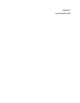**Appendix C** 

**Communications Plan**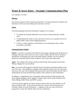# **Water & Sewer Rates – Strategic Communications Plan**

Last Updated: 4/1/2012

# **Mission:**

The primary purpose of this communications plan is "to better educate the residents and businesses on the cost of providing water and sewer services".

# **Goals:**

The following goals have been developed in support of our mission.

- 1. To explain the rationale behind the cost-of-service study (fixed plus variable cost).
- 2. To demonstrate the value of water and sewer services as an essential service for public health, safety and fire fighting purposes.
- 3. To have a central repository of documents on rate information that is easily accessible to the public.

# **Communications Update:**

**March:** An article was placed in the Observer Newspaper explaining that the Board was looking to decrease water and sewer rates in order to reflect the full costs of treatment and delivery of drinking water and wastewaster utilities. Readers were also asked to attend our Community Rate Forums on March 12th to learn more about rates.

**April:** The complete 2012 Water and Sewer Rate Study will be posted on the Water Billing webpage for easy download.

**May:** An article will be placed in the May Focus Newsletter informing residents of the new 2012 rates. Water Billing's webpage will be updated with the new rates and water and sewer rate cards will be updated and inserted into water bills mailed out after May  $1<sup>st</sup>$ explaining the increase and directing residents to the website for more information.

In addition, a comprehensive list of frequently asked questions (FAQ) posted on the Water Billing Webpage will be updated. Printed copies will be made available at the Water Billing, Public Works and DPW counters.

Tim Faas will also appear on Canton Contact to discuss the new rates and how it will impact residents' bills. At the end of the interview, viewers will be directed to the township website for more information. A segment on the new rates will also be prepared for Canton This Month which will run in May/June.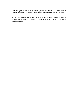**June:** Informational water rate facts will be updated and added to the Focus Newsletter. For more information on Canton's water and sewer rates, please visit our website at [www.canton-mi.org/water.](http://www.canton-mi.org/water)

In addition, PSAs with facts such as the one above will be prepared by the cable studio to be aired throughout the year. Each PSA will end by directing viewers to the website for more information.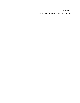**Appendix D** 

**DWSD Industrial Waste Control (IWC) Charges**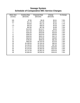# **Sewage System Schedule of Comparative IWC Service Charges**

| <b>Meter Size</b> | <b>Existing Rate</b> | <b>Proposed Rate</b> | <b>Change</b> | % Change |
|-------------------|----------------------|----------------------|---------------|----------|
| (inches)          | (\$/month)           | (\$/month)           | (\$/month)    |          |
|                   |                      |                      |               |          |
| 5/8               | \$7.85               | \$8.46               | \$0.61        | 7.8%     |
| 3/4               | \$11.78              | \$12.69              | \$0.91        | 7.7%     |
| 1                 | \$19.63              | \$21.15              | \$1.52        | 7.7%     |
| 1.5               | \$43.18              | \$46.53              | \$3.35        | 7.8%     |
| $\overline{2}$    | \$62.80              | \$67.68              | \$4.88        | 7.8%     |
| 3                 | \$113.83             | \$122.67             | \$8.84        | 7.8%     |
| 4                 | \$157.00             | \$169.20             | \$12.20       | 7.8%     |
| 6                 | \$235.50             | \$253.80             | \$18.30       | 7.8%     |
| 8                 | \$392.50             | \$423.00             | \$30.50       | 7.8%     |
| 10                | \$549.50             | \$592.20             | \$42.70       | 7.8%     |
| 12                | \$628.00             | \$676.80             | \$48.80       | 7.8%     |
| 14                | \$785.00             | \$846.00             | \$61.00       | 7.8%     |
| 16                | \$942.00             | \$1,015.20           | \$73.20       | 7.8%     |
| 18                | \$1,099.00           | \$1,184.40           | \$85.40       | 7.8%     |
| 20                | \$1,256.00           | \$1,353.60           | \$97.60       | 7.8%     |
| 24                | \$1,413.00           | \$1,522.80           | \$109.80      | 7.8%     |
| 30                | \$1,570.00           | \$1,692.00           | \$122.00      | 7.8%     |
| 36                | \$1,727.00           | \$1,861.20           | \$134.20      | 7.8%     |
| 48                | \$1,884.00           | \$2,030.40           | \$146.40      | 7.8%     |
|                   |                      |                      |               |          |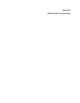**Appendix E** 

**DWSD Industrial Surcharge Rates**